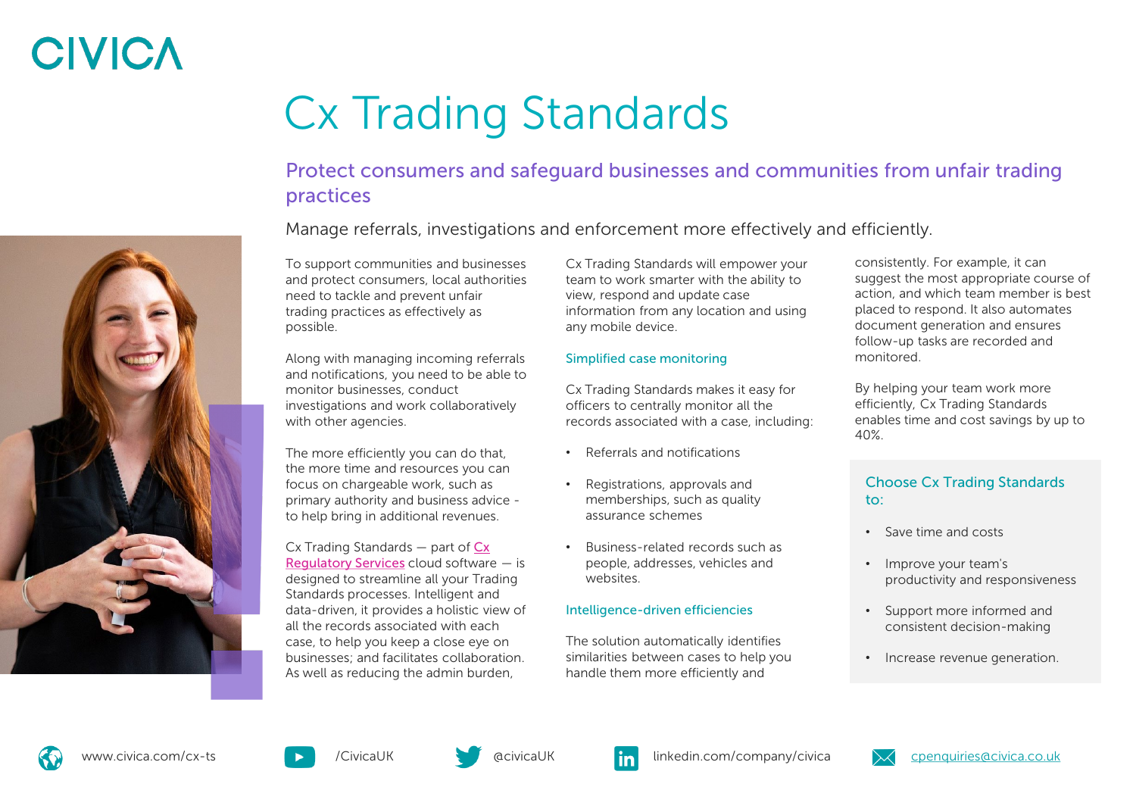# **CIVICA**

# Cx Trading Standards

#### Protect consumers and safeguard businesses and communities from unfair trading practices

Manage referrals, investigations and enforcement more effectively and efficiently.

To support communities and businesses and protect consumers, local authorities need to tackle and prevent unfair trading practices as effectively as possible.

Along with managing incoming referrals and notifications, you need to be able to monitor businesses, conduct investigations and work collaboratively with other agencies.

The more efficiently you can do that, the more time and resources you can focus on chargeable work, such as primary authority and business advice to help bring in additional revenues.

[Cx Trading Standards —](https://www.civica.com/en-gb/product-pages/cx-regulatory-services/) part of Cx Regulatory Services cloud software — is designed to streamline all your Trading Standards processes. Intelligent and data-driven, it provides a holistic view of all the records associated with each case, to help you keep a close eye on businesses; and facilitates collaboration. As well as reducing the admin burden,

Cx Trading Standards will empower your team to work smarter with the ability to view, respond and update case information from any location and using any mobile device.

#### Simplified case monitoring

Cx Trading Standards makes it easy for officers to centrally monitor all the records associated with a case, including:

- Referrals and notifications
- Registrations, approvals and memberships, such as quality assurance schemes
- Business-related records such as people, addresses, vehicles and websites.

#### Intelligence-driven efficiencies

The solution automatically identifies similarities between cases to help you handle them more efficiently and

consistently. For example, it can suggest the most appropriate course of action, and which team member is best placed to respond. It also automates document generation and ensures follow-up tasks are recorded and monitored.

By helping your team work more efficiently, Cx Trading Standards enables time and cost savings by up to 40%.

#### Choose Cx Trading Standards to:

- Save time and costs
- Improve your team's productivity and responsiveness
- Support more informed and consistent decision-making
- Increase revenue generation.